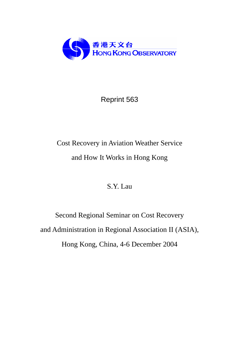

# Reprint 563

# Cost Recovery in Aviation Weather Service and How It Works in Hong Kong

# S.Y. Lau

Second Regional Seminar on Cost Recovery and Administration in Regional Association II (ASIA), Hong Kong, China, 4-6 December 2004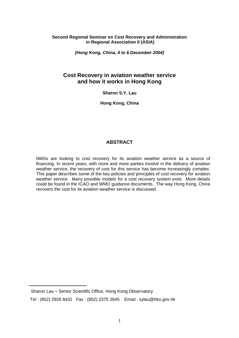## **Second Regional Seminar on Cost Recovery and Administration in Regional Association II (ASIA)**

*(Hong Kong, China, 4 to 6 December 2004)* 

# **Cost Recovery in aviation weather service and how it works in Hong Kong**

**Sharon S.Y. Lau** 

**Hong Kong, China** 

# **ABSTRACT**

NMSs are looking to cost recovery for its aviation weather service as a source of financing. In recent years, with more and more parties involve in the delivery of aviation weather service, the recovery of cost for this service has become increasingly complex. This paper describes some of the key policies and principles of cost recovery for aviation weather service. Many possible models for a cost recovery system exist. More details could be found in the ICAO and WMO guidance documents. The way Hong Kong, China recovers the cost for its aviation weather service is discussed.

 $\overline{a}$ 

Sharon Lau **–** Senior Scientific Office, Hong Kong Observatory

Tel : (852) 2926 8431 Fax : (852) 2375 2645 Email : sylau@hko.gov.hk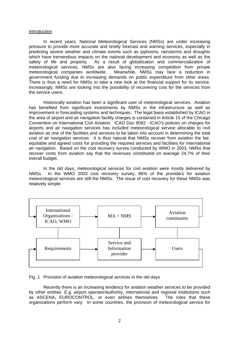#### Introduction

In recent years, National Meteorological Services (NMSs) are under increasing pressure to provide more accurate and timely forecast and warning services, especially in predicting severe weather and climate events such as typhoons, rainstorms and droughts which have tremendous impacts on the national development and economy as well as the safety of life and property. As a result of globalization and commercialization of meteorological services, NMSs are also facing increasing competition from private meteorological companies worldwide. Meanwhile, NMSs may face a reduction in government funding due to increasing demands on public expenditure from other areas. There is thus a need for NMSs to take a new look at the financial support for its service. Increasingly, NMSs are looking into the possibility of recovering cost for the services from the service users.

Historically aviation has been a significant user of meteorological services. Aviation has benefited from significant investments by NMSs in the infrastructure as well as improvement in forecasting systems and techniques. The legal basis established by ICAO in the area of airport and air navigation facility charges is contained in Article 15 of the Chicago Convention on International Civil Aviation. ICAO Doc 9082 - ICAO's policies on charges for airports and air navigation services has included meteorological service allocable to civil aviation as one of the facilities and services to be taken into account in determining the total cost of air navigation services. It is thus natural that NMSs recover from aviation the fair, equitable and agreed costs for providing the required services and facilities for international air navigation. Based on the cost recovery survey conducted by WMO in 2003, NMSs that recover costs from aviation say that the revenues constituted on average 24.7% of their overall budget.

In the old days, meteorological services for civil aviation were mostly delivered by NMSs. In the WMO 2003 cost recovery survey, 86% of the providers for aviation meteorological services are still the NMSs. The issue of cost recovery for these NMSs was relatively simple.



#### Fig. 1 Provision of aviation meteorological services in the old days

Recently there is an increasing tendency for aviation weather services to be provided by other entities. E.g. airport operator/authority, international and regional institutions such as ASCENA, EUROCONTROL, or even airlines themselves. The roles that these organizations perform vary. In some countries, the provision of meteorological service for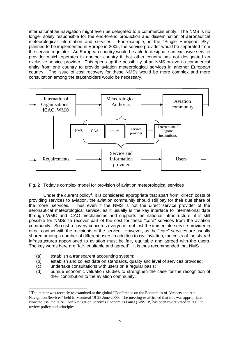international air navigation might even be delegated to a commercial entity. The NMS is no longer solely responsible for the end-to-end production and dissemination of aeronautical meteorological information and services. For example, in the "Single European Sky" planned to be implemented in Europe in 2005, the service provider would be separated from the service regulator. An European country would be able to designate an exclusive service provider which operates in another country if that other country has not designated an exclusive service provider. This opens up the possibility of an NMS or even a commercial entity from one country to provide aviation meteorological services in another European country. The issue of cost recovery for these NMSs would be more complex and more consultation among the stakeholders would be necessary.



Fig. 2 Today's complex model for provision of aviation meteorological services

Under the current policy<sup>1</sup>, it is considered appropriate that apart from "direct" costs of providing services to aviation, the aviation community should still pay for their due share of the "core" services. Thus even if the NMS is not the direct service provider of the aeronautical meteorological service, as it usually is the key interface to international data through WMO and ICAO mechanisms and supports the national infrastructure, it is still possible for NMSs to recover part of the cost for these "core" services from the aviation community. So cost recovery concerns everyone, not just the immediate service provider in direct contact with the recipients of the service. However, as the "core" services are usually shared among a number of different users in addition to civil aviation, the costs of the shared infrastructures apportioned to aviation must be fair, equitable and agreed with the users. The key words here are "fair, equitable and agreed". It is thus recommended that NMS

(a) establish a transparent accounting system;

 $\overline{a}$ 

- (b) establish and collect data on standards, quality and level of services provided;
- (c) undertake consultations with users on a regular basis;
- (d) pursue economic valuation studies to strengthen the case for the recognition of their contribution to the aviation community.

<sup>&</sup>lt;sup>1</sup> The matter was recently re-examined at the global "Conference on the Economics of Airports and Air Navigation Services" held in Montreal 19-28 June 2000. The meeting re-affirmed that this was appropriate. Nonetheless, the ICAO Air Navigation Services Economics Panel (ANSEP) has been re-activated in 2003 to review policy and principles.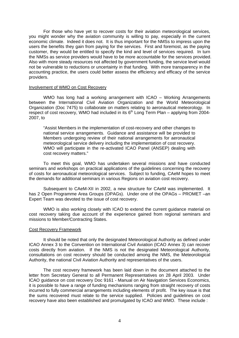For those who have yet to recover costs for their aviation meteorological services, you might wonder why the aviation community is willing to pay, especially in the current economic climate. Indeed it does not. It is thus important for the NMSs to impress upon the users the benefits they gain from paying for the services. First and foremost, as the paying customer, they would be entitled to specify the kind and level of services required. In turn the NMSs as service providers would have to be more accountable for the services provided. Also with more steady resources not affected by government funding, the service level would not be vulnerable to reductions or uncertainty in that funding. With more transparency in the accounting practice, the users could better assess the efficiency and efficacy of the service providers.

#### Involvement of WMO on Cost Recovery

 WMO has long had a working arrangement with ICAO – Working Arrangements between the International Civil Aviation Organization and the World Meteorological Organization (Doc 7475) to collaborate on matters relating to aeronautical meteorology. In respect of cost recovery, WMO had included in its  $6<sup>th</sup>$  Long Term Plan – applying from 2004-2007, to

"Assist Members in the implementation of cost-recovery and other changes to national service arrangements. Guidance and assistance will be provided to Members undergoing review of their national arrangements for aeronautical meteorological service delivery including the implementation of cost recovery. WMO will participate in the re-activated ICAO Panel (ANSEP) dealing with cost recovery matters."

To meet this goal, WMO has undertaken several missions and have conducted seminars and workshops on practical applications of the guidelines concerning the recovery of costs for aeronautical meteorological services. Subject to funding, CAeM hopes to meet the demands for additional seminars in various Regions on aviation cost recovery.

 Subsequent to CAeM-XII in 2002, a new structure for CAeM was implemented. It has 2 Open Programme Area Groups (OPAGs). Under one of the OPAGs – PROMET –an Expert Team was devoted to the issue of cost recovery.

WMO is also working closely with ICAO to extend the current guidance material on cost recovery taking due account of the experience gained from regional seminars and missions to Member/Contracting States.

#### Cost Recovery Framework

 It should be noted that only the designated Meteorological Authority as defined under ICAO Annex 3 to the Convention on International Civil Aviation (ICAO Annex 3) can recover costs directly from aviation. If the NMS is not the designated Meteorological Authority, consultations on cost recovery should be conducted among the NMS, the Meteorological Authority, the national Civil Aviation Authority and representatives of the users.

The cost recovery framework has been laid down in the document attached to the letter from Secretary General to all Permanent Representatives on 28 April 2003. Under ICAO guidance on cost recovery Doc 9161 - Manual on Air Navigation Services Economics, it is possible to have a range of funding mechanisms ranging from straight recovery of costs incurred to fully commercial arrangements including elements of profit. The key issue is that the sums recovered must relate to the service supplied. Policies and guidelines on cost recovery have also been established and promulgated by ICAO and WMO. These include :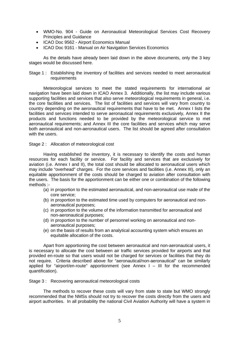- WMO-No. 904 Guide on Aeronautical Meteorological Services Cost Recovery Principles and Guidance
- ICAO Doc 9562 Airport Economics Manual
- ICAO Doc 9161 Manual on Air Navigation Services Economics

As the details have already been laid down in the above documents, only the 3 key stages would be discussed here.

Stage 1 : Establishing the inventory of facilities and services needed to meet aeronautical requirements

Meteorological services to meet the stated requirements for international air navigation have been laid down in ICAO Annex 3. Additionally, the list may include various supporting facilities and services that also serve meteorological requirements in general, i.e. the core facilities and services. The list of facilities and services will vary from country to country depending on the aeronautical requirements that have to be met. Annex I lists the facilities and services intended to serve aeronautical requirements exclusively, Annex II the products and functions needed to be provided by the meteorological service to met aeronautical requirements; and Annex III the core facilities and services which may serve both aeronautical and non-aeronautical users. The list should be agreed after consultation with the users.

Stage 2 : Allocation of meteorological cost

Having established the inventory, it is necessary to identify the costs and human resources for each facility or service. For facility and services that are exclusively for aviation (i.e. Annex I and II), the total cost should be allocated to aeronautical users which may include "overhead" charges. For the core services and facilities (i.e. Annex III), only an equitable apportionment of the costs should be charged to aviation after consultation with the users. The basis for the apportionment can be either one or combination of the following methods :-

- (a) in proportion to the estimated aeronautical, and non-aeronautical use made of the core service;
- (b) in proportion to the estimated time used by computers for aeronautical and nonaeronautical purposes;
- (c) in proportion to the volume of the information transmitted for aeronautical and non-aeronautical purposes;
- (d) in proportion to the number of personnel working on aeronautical and nonaeronautical purposes;
- (e) on the basis of results from an analytical accounting system which ensures an equitable allocation of the costs.

Apart from apportioning the cost between aeronautical and non-aeronautical users, it is necessary to allocate the cost between air traffic services provided for airports and that provided en-route so that users would not be charged for services or facilities that they do not require. Criteria described above for "aeronautical/non-aeronautical" can be similarly applied for "airport/en-route" apportionment (see Annex I – III for the recommended quantification).

Stage 3 : Recovering aeronautical meteorological costs

The methods to recover these costs will vary from state to state but WMO strongly recommended that the NMSs should not try to recover the costs directly from the users and airport authorities. In all probability the national Civil Aviation Authority will have a system in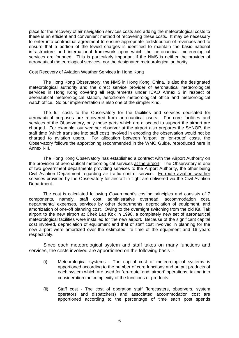place for the recovery of air navigation services costs and adding the meteorological costs to these is an efficient and convenient method of recovering these costs. It may be necessary to enter into contractual agreement to ensure appropriate redistribution of revenues and to ensure that a portion of the levied charges is identified to maintain the basic national infrastructure and international framework upon which the aeronautical meteorological services are founded. This is particularly important if the NMS is neither the provider of aeronautical meteorological services, nor the designated meteorological authority.

#### Cost Recovery of Aviation Weather Services in Hong Kong

 The Hong Kong Observatory, the NMS in Hong Kong, China, is also the designated meteorological authority and the direct service provider of aeronautical meteorological services in Hong Kong covering all requirements under ICAO Annex 3 in respect of aeronautical meteorological station, aerodrome meteorological office and meteorological watch office. So our implementation is also one of the simpler kind.

The full costs to the Observatory for the facilities and services dedicated for aeronautical purposes are recovered from aeronautical users. For core facilities and services of the Observatory, only those parts which are allocated to support the airport are charged. For example, our weather observer at the airport also prepares the SYNOP, the staff time (which translate into staff cost) involved in encoding the observation would not be charged to aviation users. For allocation between 'airport' or 'en-route' costs, the Observatory follows the apportioning recommended in the WMO Guide, reproduced here in Annex I-III.

The Hong Kong Observatory has established a contract with the Airport Authority on the provision of aeronautical meteorological services at the airport. The Observatory is one of two government departments providing services to the Airport Authority, the other being Civil Aviation Department regarding air traffic control service. En-route aviation weather services provided by the Observatory for aircraft in flight are delivered via the Civil Aviation Department.

The cost is calculated following Government's costing principles and consists of 7 components, namely, staff cost, administrative overhead, accommodation cost, departmental expenses, services by other departments, depreciation of equipment, and amortization of one-off planning cost. Owing to the overnight switching from the old Kai Tak airport to the new airport at Chek Lap Kok in 1998, a completely new set of aeronautical meteorological facilities were installed for the new airport. Because of the significant capital cost involved, depreciation of equipment and that of staff cost involved in planning for the new airport were amortized over the estimated life time of the equipment and 16 years respectively.

Since each meteorological system and staff takes on many functions and services, the costs involved are apportioned on the following basis :-

- (i) Meteorological systems The capital cost of meteorological systems is apportioned according to the number of core functions and output products of each system which are used for 'en-route' and 'airport' operations, taking into consideration the complexity of the functions or products.
- (ii) Staff cost The cost of operation staff (forecasters, observers, system operators and dispatchers) and associated accommodation cost are apportioned according to the percentage of time each post spends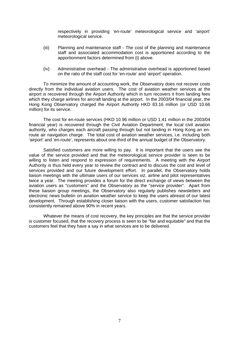respectively in providing 'en-route' meteorological service and 'airport' meteorological service.

- (iii) Planning and maintenance staff The cost of the planning and maintenance staff and associated accommodation cost is apportioned according to the apportionment factors determined from (i) above.
- (iv) Administrative overhead The administrative overhead is apportioned based on the ratio of the staff cost for 'en-route' and 'airport' operation.

To minimize the amount of accounting work, the Observatory does not recover costs directly from the individual aviation users. The cost of aviation weather services at the airport is recovered through the Airport Authority which in turn recovers it from landing fees which they charge airlines for aircraft landing at the airport. In the 2003/04 financial year, the Hong Kong Observatory charged the Airport Authority HKD 83.16 million (or USD 10.66 million) for its service.

The cost for en-route services (HKD 10.96 million or USD 1.41 million in the 2003/04 financial year) is recovered through the Civil Aviation Department, the local civil aviation authority, who charges each aircraft passing through but not landing in Hong Kong an enroute air navigation charge. The total cost of aviation weather services, i.e. including both 'airport' and 'en-route', represents about one-third of the annual budget of the Observatory.

Satisfied customers are more willing to pay. It is important that the users see the value of the service provided and that the meteorological service provider is seen to be willing to listen and respond to expression of requirements. A meeting with the Airport Authority is thus held every year to review the contract and to discuss the cost and level of services provided and our future development effort. In parallel, the Observatory holds liaison meetings with the ultimate users of our services viz. airline and pilot representatives twice a year. The meeting provides a forum for the direct exchange of views between the aviation users as "customers" and the Observatory as the "service provider". Apart from these liaision group meetings, the Observatory also regularly publishes newsletters and electronic news bulletin on aviation weather service to keep the users abreast of our latest development. Through establishing closer liaison with the users, customer satisfaction has consistently remained above 90% in recent years.

Whatever the means of cost recovery, the key principles are that the service provider is customer focused, that the recovery process is seen to be "fair and equitable" and that the customers feel that they have a say in what services are to be delivered.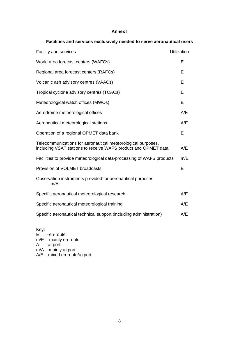# **Annex I**

| <b>Facility and services</b>                                                                                                   | Utilization |
|--------------------------------------------------------------------------------------------------------------------------------|-------------|
| World area forecast centers (WAFCs)                                                                                            | Е           |
| Regional area forecast centers (RAFCs)                                                                                         | F           |
| Volcanic ash advisory centres (VAACs)                                                                                          | Е           |
| Tropical cyclone advisory centres (TCACs)                                                                                      | E           |
| Meteorological watch offices (MWOs)                                                                                            | Е           |
| Aerodrome meteorological offices                                                                                               | A/E         |
| Aeronautical meteorological stations                                                                                           | A/E         |
| Operation of a regional OPMET data bank                                                                                        | Е           |
| Telecommunications for aeronautical meteorological purposes,<br>including VSAT stations to receive WAFS product and OPMET data | A/E         |
| Facilities to provide meteorological data-processing of WAFS products                                                          | m/E         |
| Provision of VOLMET broadcasts                                                                                                 | Е           |
| Observation instruments provided for aeronautical purposes<br>m/A                                                              |             |
| Specific aeronautical meteorological research                                                                                  | A/E         |
| Specific aeronautical meteorological training                                                                                  | A/E         |
| Specific aeronautical technical support (including administration)                                                             | A/E         |

# **Facilities and services exclusively needed to serve aeronautical users**

Key: E - en-route m/E - mainly en-route A - airport m/A – mainly airport A/E – mixed en-route/airport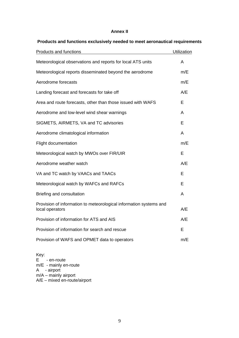## **Annex II**

| Products and functions                                                                | Utilization |
|---------------------------------------------------------------------------------------|-------------|
| Meteorological observations and reports for local ATS units                           | A           |
| Meteorological reports disseminated beyond the aerodrome                              | m/E         |
| Aerodrome forecasts                                                                   | m/E         |
| Landing forecast and forecasts for take off                                           | A/E         |
| Area and route forecasts, other than those issued with WAFS                           | Е           |
| Aerodrome and low-level wind shear warnings                                           | A           |
| SIGMETS, AIRMETS, VA and TC advisories                                                | Е           |
| Aerodrome climatological information                                                  | A           |
| <b>Flight documentation</b>                                                           | m/E         |
| Meteorological watch by MWOs over FIR/UIR                                             | E           |
| Aerodrome weather watch                                                               | A/E         |
| VA and TC watch by VAACs and TAACs                                                    | Е           |
| Meteorological watch by WAFCs and RAFCs                                               | Е           |
| Briefing and consultation                                                             | A           |
| Provision of information to meteorological information systems and<br>local operators | A/E         |
| Provision of information for ATS and AIS                                              | A/E         |
| Provision of information for search and rescue                                        | E           |
| Provision of WAFS and OPMET data to operators                                         | m/E         |

# **Products and functions exclusively needed to meet aeronautical requirements**

Key:  $E \rightarrow en$ -route m/E - mainly en-route A - airport m/A – mainly airport A/E – mixed en-route/airport